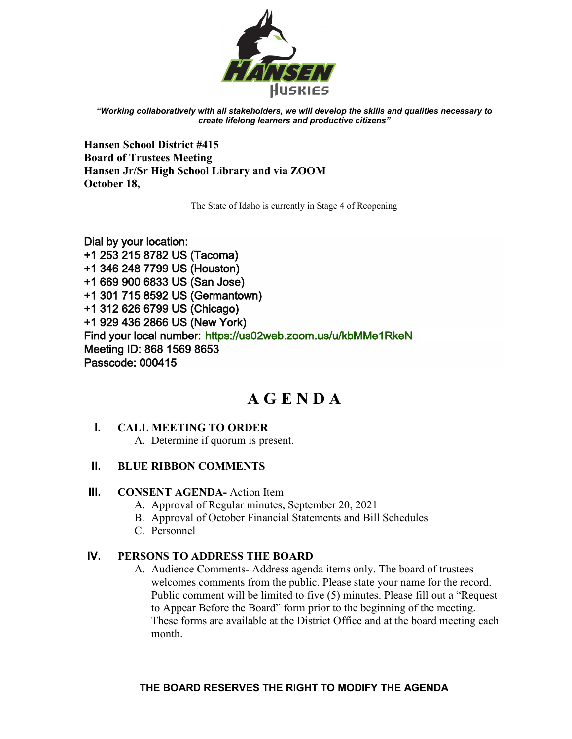

*"Working collaboratively with all stakeholders, we will develop the skills and qualities necessary to create lifelong learners and productive citizens"*

**Hansen School District #415 Board of Trustees Meeting Hansen Jr/Sr High School Library and via ZOOM October 18,** 

The State of Idaho is currently in Stage 4 of Reopening

Dial by your location: +1 253 215 8782 US (Tacoma) +1 346 248 7799 US (Houston) +1 669 900 6833 US (San Jose) +1 301 715 8592 US (Germantown) +1 312 626 6799 US (Chicago) +1 929 436 2866 US (New York) Find your local number:<https://us02web.zoom.us/u/kbMMe1RkeN> Meeting ID: 868 1569 8653 Passcode: 000415

# **A G E N D A**

## **I. CALL MEETING TO ORDER**

A. Determine if quorum is present.

## **II. BLUE RIBBON COMMENTS**

## **III. CONSENT AGENDA-** Action Item

- A. Approval of Regular minutes, September 20, 2021
- B. Approval of October Financial Statements and Bill Schedules
- C. Personnel

## **IV. PERSONS TO ADDRESS THE BOARD**

A. Audience Comments- Address agenda items only. The board of trustees welcomes comments from the public. Please state your name for the record. Public comment will be limited to five (5) minutes. Please fill out a "Request to Appear Before the Board" form prior to the beginning of the meeting. These forms are available at the District Office and at the board meeting each month.